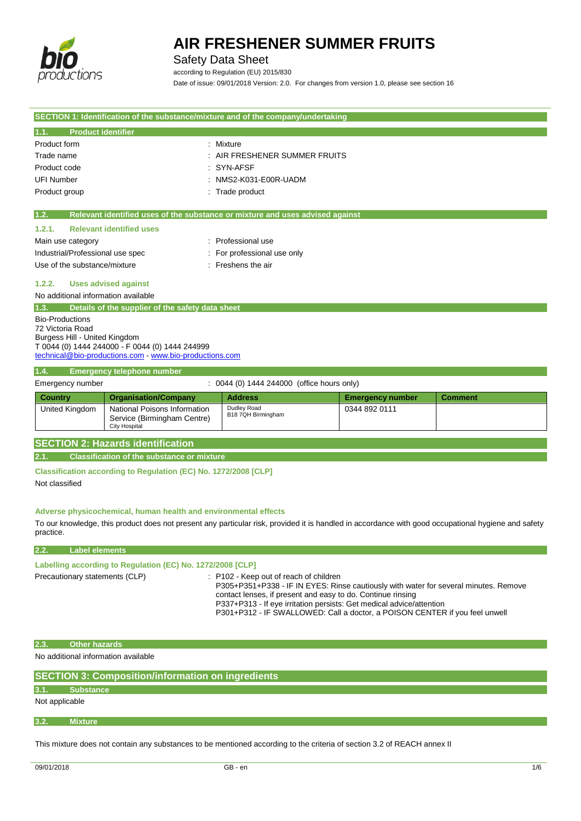

## Safety Data Sheet

according to Regulation (EU) 2015/830 Date of issue: 09/01/2018 Version: 2.0. For changes from version 1.0, please see section 16

|                                     |                                                                 | SECTION 1: Identification of the substance/mixture and of the company/undertaking                                                                   |                         |                |
|-------------------------------------|-----------------------------------------------------------------|-----------------------------------------------------------------------------------------------------------------------------------------------------|-------------------------|----------------|
| <b>Product identifier</b><br>1.1.   |                                                                 |                                                                                                                                                     |                         |                |
| Product form                        |                                                                 | : Mixture                                                                                                                                           |                         |                |
| Trade name                          |                                                                 | : AIR FRESHENER SUMMER FRUITS                                                                                                                       |                         |                |
| Product code                        |                                                                 | SYN-AFSF                                                                                                                                            |                         |                |
| <b>UFI Number</b>                   |                                                                 | NMS2-K031-E00R-UADM                                                                                                                                 |                         |                |
| Product group                       |                                                                 | Trade product                                                                                                                                       |                         |                |
|                                     |                                                                 |                                                                                                                                                     |                         |                |
| 1.2.                                |                                                                 | Relevant identified uses of the substance or mixture and uses advised against                                                                       |                         |                |
| 1.2.1.                              | <b>Relevant identified uses</b>                                 |                                                                                                                                                     |                         |                |
| Main use category                   |                                                                 | : Professional use                                                                                                                                  |                         |                |
| Industrial/Professional use spec    |                                                                 | For professional use only                                                                                                                           |                         |                |
| Use of the substance/mixture        |                                                                 | : Freshens the air                                                                                                                                  |                         |                |
| 1.2.2.                              | <b>Uses advised against</b>                                     |                                                                                                                                                     |                         |                |
| No additional information available |                                                                 |                                                                                                                                                     |                         |                |
| 1.3.                                | Details of the supplier of the safety data sheet                |                                                                                                                                                     |                         |                |
| <b>Bio-Productions</b>              |                                                                 |                                                                                                                                                     |                         |                |
| 72 Victoria Road                    |                                                                 |                                                                                                                                                     |                         |                |
| Burgess Hill - United Kingdom       |                                                                 |                                                                                                                                                     |                         |                |
|                                     | T 0044 (0) 1444 244000 - F 0044 (0) 1444 244999                 |                                                                                                                                                     |                         |                |
|                                     | technical@bio-productions.com - www.bio-productions.com         |                                                                                                                                                     |                         |                |
| 1.4.                                | <b>Emergency telephone number</b>                               |                                                                                                                                                     |                         |                |
| Emergency number                    |                                                                 | : 0044 (0) 1444 244000 (office hours only)                                                                                                          |                         |                |
|                                     |                                                                 |                                                                                                                                                     |                         |                |
| Country                             |                                                                 | <b>Address</b>                                                                                                                                      | <b>Emergency number</b> | <b>Comment</b> |
| United Kingdom                      | <b>Organisation/Company</b><br>National Poisons Information     | Dudley Road                                                                                                                                         | 0344 892 0111           |                |
|                                     | Service (Birmingham Centre)                                     | B18 7QH Birmingham                                                                                                                                  |                         |                |
|                                     | <b>City Hospital</b>                                            |                                                                                                                                                     |                         |                |
|                                     | <b>SECTION 2: Hazards identification</b>                        |                                                                                                                                                     |                         |                |
| 2.1.                                | <b>Classification of the substance or mixture</b>               |                                                                                                                                                     |                         |                |
|                                     |                                                                 |                                                                                                                                                     |                         |                |
|                                     | Classification according to Regulation (EC) No. 1272/2008 [CLP] |                                                                                                                                                     |                         |                |
| Not classified                      |                                                                 |                                                                                                                                                     |                         |                |
|                                     |                                                                 |                                                                                                                                                     |                         |                |
|                                     | Adverse physicochemical, human health and environmental effects |                                                                                                                                                     |                         |                |
|                                     |                                                                 | To our knowledge, this product does not present any particular risk, provided it is handled in accordance with good occupational hygiene and safety |                         |                |
| practice.                           |                                                                 |                                                                                                                                                     |                         |                |
| <b>Label elements</b><br>2.2.       |                                                                 |                                                                                                                                                     |                         |                |
|                                     | Labelling according to Regulation (EC) No. 1272/2008 [CLP]      |                                                                                                                                                     |                         |                |
| Precautionary statements (CLP)      |                                                                 | : P102 - Keep out of reach of children                                                                                                              |                         |                |
|                                     |                                                                 | P305+P351+P338 - IF IN EYES: Rinse cautiously with water for several minutes. Remove                                                                |                         |                |
|                                     |                                                                 | contact lenses, if present and easy to do. Continue rinsing                                                                                         |                         |                |
|                                     |                                                                 | P337+P313 - If eye irritation persists: Get medical advice/attention                                                                                |                         |                |
|                                     |                                                                 | P301+P312 - IF SWALLOWED: Call a doctor, a POISON CENTER if you feel unwell                                                                         |                         |                |
|                                     |                                                                 |                                                                                                                                                     |                         |                |
| <b>Other hazards</b><br> 2.3.       |                                                                 |                                                                                                                                                     |                         |                |
| No additional information available |                                                                 |                                                                                                                                                     |                         |                |

### **3.1. Substance**

Not applicable

#### **3.2. Mixture**

This mixture does not contain any substances to be mentioned according to the criteria of section 3.2 of REACH annex II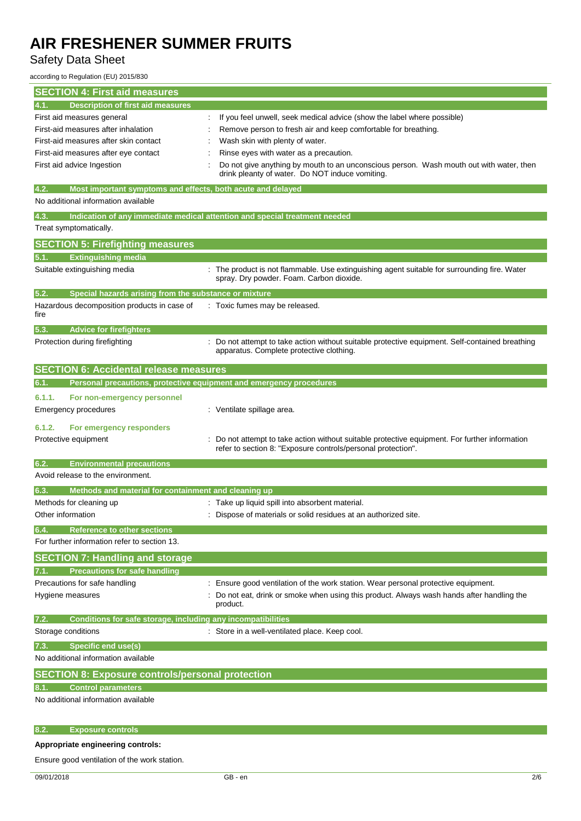## Safety Data Sheet

according to Regulation (EU) 2015/830

| <b>SECTION 4: First aid measures</b>                                        |                                                                                                                                                              |
|-----------------------------------------------------------------------------|--------------------------------------------------------------------------------------------------------------------------------------------------------------|
| <b>Description of first aid measures</b><br>4.1.                            |                                                                                                                                                              |
| First aid measures general                                                  | If you feel unwell, seek medical advice (show the label where possible)                                                                                      |
| First-aid measures after inhalation                                         | Remove person to fresh air and keep comfortable for breathing.                                                                                               |
| First-aid measures after skin contact                                       | Wash skin with plenty of water.                                                                                                                              |
| First-aid measures after eye contact                                        | Rinse eyes with water as a precaution.                                                                                                                       |
| First aid advice Ingestion                                                  | Do not give anything by mouth to an unconscious person. Wash mouth out with water, then<br>drink pleanty of water. Do NOT induce vomiting.                   |
| 4.2.<br>Most important symptoms and effects, both acute and delayed         |                                                                                                                                                              |
| No additional information available                                         |                                                                                                                                                              |
| 4.3.<br>Treat symptomatically.                                              | Indication of any immediate medical attention and special treatment needed                                                                                   |
| <b>SECTION 5: Firefighting measures</b>                                     |                                                                                                                                                              |
|                                                                             |                                                                                                                                                              |
| <b>Extinguishing media</b><br>5.1.                                          |                                                                                                                                                              |
| Suitable extinguishing media                                                | The product is not flammable. Use extinguishing agent suitable for surrounding fire. Water<br>spray. Dry powder. Foam. Carbon dioxide.                       |
| 5.2.<br>Special hazards arising from the substance or mixture               |                                                                                                                                                              |
| Hazardous decomposition products in case of<br>fire                         | : Toxic fumes may be released.                                                                                                                               |
| 5.3.<br><b>Advice for firefighters</b>                                      |                                                                                                                                                              |
| Protection during firefighting                                              | : Do not attempt to take action without suitable protective equipment. Self-contained breathing<br>apparatus. Complete protective clothing.                  |
| <b>SECTION 6: Accidental release measures</b>                               |                                                                                                                                                              |
| Personal precautions, protective equipment and emergency procedures<br>6.1. |                                                                                                                                                              |
| 6.1.1.<br>For non-emergency personnel                                       |                                                                                                                                                              |
| Emergency procedures                                                        | : Ventilate spillage area.                                                                                                                                   |
| 6.1.2.<br>For emergency responders                                          |                                                                                                                                                              |
| Protective equipment                                                        | Do not attempt to take action without suitable protective equipment. For further information<br>refer to section 8: "Exposure controls/personal protection". |
| <b>Environmental precautions</b><br>6.2.                                    |                                                                                                                                                              |
| Avoid release to the environment.                                           |                                                                                                                                                              |
| Methods and material for containment and cleaning up<br>6.3.                |                                                                                                                                                              |
| Methods for cleaning up                                                     | : Take up liquid spill into absorbent material.                                                                                                              |
| Other information                                                           | Dispose of materials or solid residues at an authorized site.                                                                                                |
| 6.4.<br><b>Reference to other sections</b>                                  |                                                                                                                                                              |
| For further information refer to section 13.                                |                                                                                                                                                              |
| <b>SECTION 7: Handling and storage</b>                                      |                                                                                                                                                              |
| <b>Precautions for safe handling</b><br>7.1.                                |                                                                                                                                                              |
| Precautions for safe handling                                               | Ensure good ventilation of the work station. Wear personal protective equipment.                                                                             |
| Hygiene measures                                                            | Do not eat, drink or smoke when using this product. Always wash hands after handling the<br>product.                                                         |
| Conditions for safe storage, including any incompatibilities<br>7.2.        |                                                                                                                                                              |
| Storage conditions                                                          | : Store in a well-ventilated place. Keep cool.                                                                                                               |
| Specific end use(s)<br>7.3.                                                 |                                                                                                                                                              |
| No additional information available                                         |                                                                                                                                                              |
| <b>SECTION 8: Exposure controls/personal protection</b>                     |                                                                                                                                                              |
| <b>Control parameters</b>                                                   |                                                                                                                                                              |
| No additional information available                                         |                                                                                                                                                              |
|                                                                             |                                                                                                                                                              |
| <b>Exposure controls</b><br>8.2.                                            |                                                                                                                                                              |
| Appropriate engineering controls:                                           |                                                                                                                                                              |

Ensure good ventilation of the work station.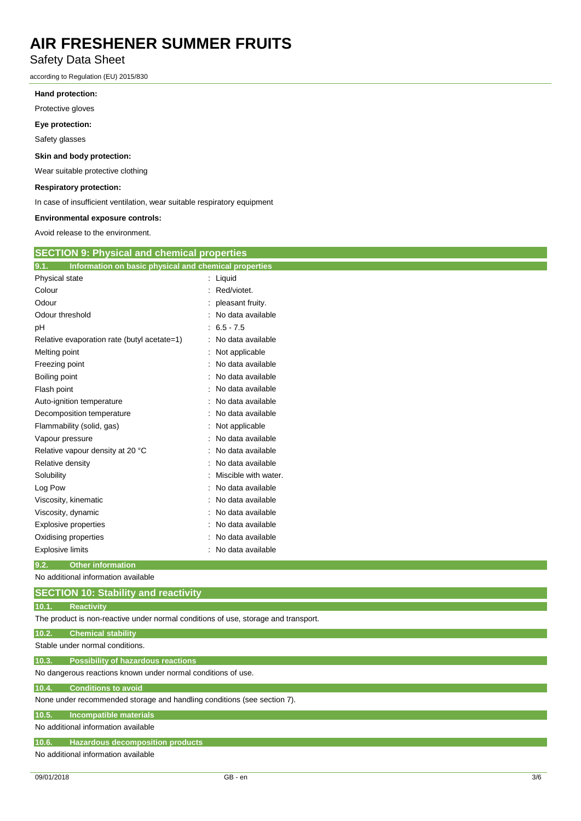## Safety Data Sheet

according to Regulation (EU) 2015/830

#### **Hand protection:**

Protective gloves

#### **Eye protection:**

Safety glasses

#### **Skin and body protection:**

Wear suitable protective clothing

#### **Respiratory protection:**

In case of insufficient ventilation, wear suitable respiratory equipment

#### **Environmental exposure controls:**

Avoid release to the environment.

| <b>SECTION 9: Physical and chemical properties</b>                                 |                      |  |
|------------------------------------------------------------------------------------|----------------------|--|
| Information on basic physical and chemical properties<br>9.1.                      |                      |  |
| Physical state                                                                     | : Liquid             |  |
| Colour                                                                             | Red/viotet.          |  |
| Odour                                                                              | pleasant fruity.     |  |
| Odour threshold                                                                    | No data available    |  |
| pH                                                                                 | $6.5 - 7.5$          |  |
| Relative evaporation rate (butyl acetate=1)                                        | No data available    |  |
| Melting point                                                                      | Not applicable       |  |
| Freezing point                                                                     | No data available    |  |
| Boiling point                                                                      | No data available    |  |
| Flash point                                                                        | No data available    |  |
| Auto-ignition temperature                                                          | No data available    |  |
| Decomposition temperature                                                          | No data available    |  |
| Flammability (solid, gas)                                                          | Not applicable       |  |
| Vapour pressure                                                                    | No data available    |  |
| Relative vapour density at 20 °C                                                   | No data available    |  |
| Relative density                                                                   | No data available    |  |
| Solubility                                                                         | Miscible with water. |  |
| Log Pow                                                                            | No data available    |  |
| Viscosity, kinematic                                                               | No data available    |  |
| Viscosity, dynamic                                                                 | No data available    |  |
| Explosive properties                                                               | No data available    |  |
| Oxidising properties                                                               | No data available    |  |
| <b>Explosive limits</b>                                                            | No data available    |  |
| 9.2.<br><b>Other information</b>                                                   |                      |  |
| No additional information available                                                |                      |  |
| <b>SECTION 10: Stability and reactivity</b>                                        |                      |  |
| <b>Reactivity</b><br>10.1.                                                         |                      |  |
| The product is non-reactive under normal conditions of use, storage and transport. |                      |  |
| 10.2.<br><b>Chemical stability</b>                                                 |                      |  |
| Stable under normal conditions.                                                    |                      |  |

**10.3. Possibility of hazardous reactions** No dangerous reactions known under normal conditions of use.

### **10.4. Conditions to avoid**

None under recommended storage and handling conditions (see section 7).

#### **10.5. Incompatible materials**

No additional information available

**10.6. Hazardous decomposition products**

No additional information available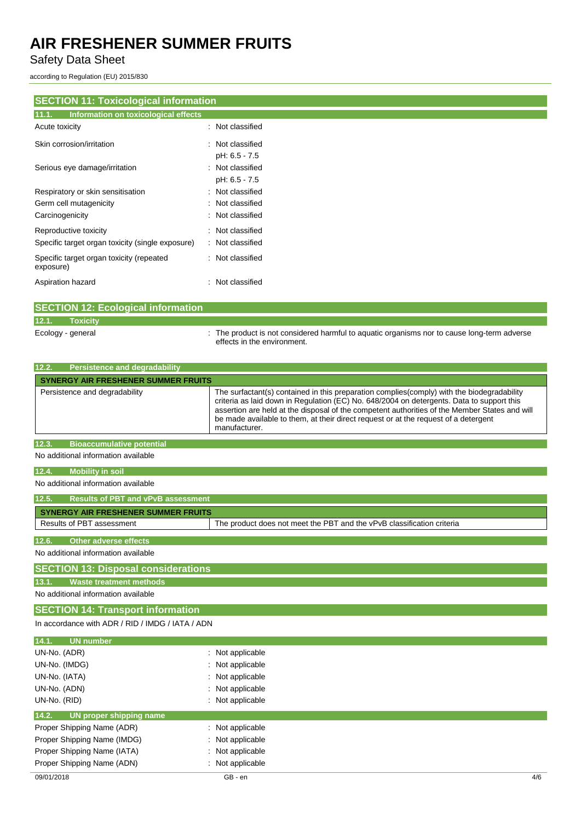Safety Data Sheet

according to Regulation (EU) 2015/830

## **SECTION 11: Toxicological information**

| 11.1.<br>Information on toxicological effects         |                  |
|-------------------------------------------------------|------------------|
| Acute toxicity                                        | : Not classified |
| Skin corrosion/irritation                             | : Not classified |
|                                                       | pH: 6.5 - 7.5    |
| Serious eye damage/irritation                         | : Not classified |
|                                                       | pH: 6.5 - 7.5    |
| Respiratory or skin sensitisation                     | : Not classified |
| Germ cell mutagenicity                                | Not classified   |
| Carcinogenicity                                       | : Not classified |
| Reproductive toxicity                                 | Not classified   |
| Specific target organ toxicity (single exposure)      | Not classified   |
| Specific target organ toxicity (repeated<br>exposure) | : Not classified |
| Aspiration hazard                                     | : Not classified |

|                   | <b>SECTION 12: Ecological information</b> |                                                                                                                            |
|-------------------|-------------------------------------------|----------------------------------------------------------------------------------------------------------------------------|
| 12.1.             | <b>Toxicity</b>                           |                                                                                                                            |
| Ecology - general |                                           | : The product is not considered harmful to aquatic organisms nor to cause long-term adverse<br>effects in the environment. |

| <b>Persistence and degradability</b><br>12.2. |                                                                                                                                                                                                                                                                                                                                                                                                   |  |
|-----------------------------------------------|---------------------------------------------------------------------------------------------------------------------------------------------------------------------------------------------------------------------------------------------------------------------------------------------------------------------------------------------------------------------------------------------------|--|
| <b>SYNERGY AIR FRESHENER SUMMER FRUITS</b>    |                                                                                                                                                                                                                                                                                                                                                                                                   |  |
| Persistence and degradability                 | The surfactant(s) contained in this preparation complies (comply) with the biodegradability<br>criteria as laid down in Regulation (EC) No. 648/2004 on detergents. Data to support this<br>assertion are held at the disposal of the competent authorities of the Member States and will<br>be made available to them, at their direct request or at the request of a detergent<br>manufacturer. |  |
| 12.3.<br><b>Bioaccumulative potential</b>     |                                                                                                                                                                                                                                                                                                                                                                                                   |  |

No additional information available

#### **12.4. Mobility in soil**

No additional information available

| 12.5. | Results of PBT and vPvB assessment. |                                                                        |
|-------|-------------------------------------|------------------------------------------------------------------------|
|       |                                     |                                                                        |
|       | SYNERGY AIR FRESHENER SUMMER FRUITS |                                                                        |
|       | Results of PBT assessment           | The product does not meet the PBT and the vPvB classification criteria |
|       |                                     |                                                                        |
| 12.6  | Other adverse effects <b>b</b>      |                                                                        |

No additional information available

### **SECTION 13: Disposal considerations**

**13.1. Waste treatment methods**

No additional information available

### **SECTION 14: Transport information**

In accordance with ADR / RID / IMDG / IATA / ADN

| 14.1.<br><b>UN number</b>        |                  |
|----------------------------------|------------------|
| UN-No. (ADR)                     | : Not applicable |
| UN-No. (IMDG)                    | : Not applicable |
| UN-No. (IATA)                    | : Not applicable |
| UN-No. (ADN)                     | : Not applicable |
| UN-No. (RID)                     | : Not applicable |
| 14.2.<br>UN proper shipping name |                  |
| Proper Shipping Name (ADR)       | : Not applicable |
| Proper Shipping Name (IMDG)      | : Not applicable |
| Proper Shipping Name (IATA)      | : Not applicable |
| Proper Shipping Name (ADN)       | : Not applicable |
|                                  |                  |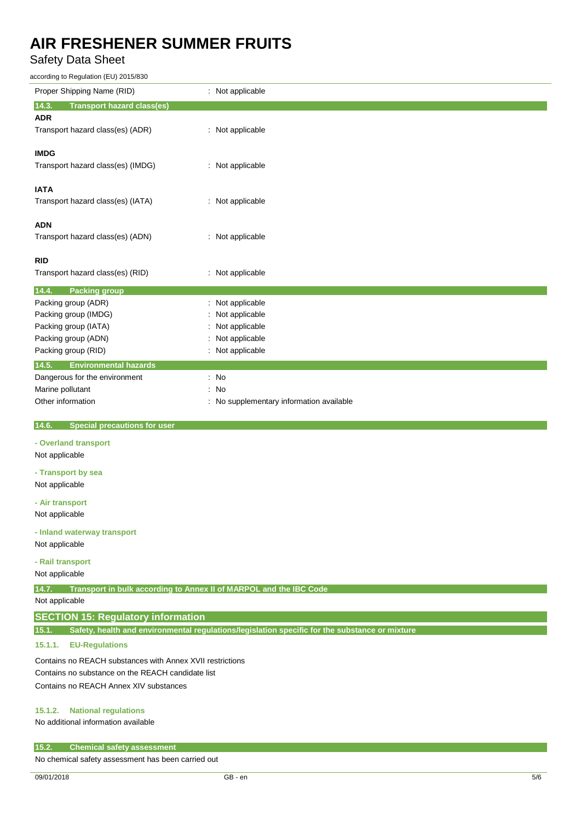Safety Data Sheet

according to Regulation (EU) 2015/830

| according to Regulation (EU) 2015/830                                       |                                                                                                |
|-----------------------------------------------------------------------------|------------------------------------------------------------------------------------------------|
| Proper Shipping Name (RID)                                                  | : Not applicable                                                                               |
| 14.3.<br><b>Transport hazard class(es)</b>                                  |                                                                                                |
| <b>ADR</b>                                                                  |                                                                                                |
| Transport hazard class(es) (ADR)                                            | : Not applicable                                                                               |
|                                                                             |                                                                                                |
| <b>IMDG</b>                                                                 |                                                                                                |
| Transport hazard class(es) (IMDG)                                           | : Not applicable                                                                               |
|                                                                             |                                                                                                |
| <b>IATA</b>                                                                 |                                                                                                |
| Transport hazard class(es) (IATA)                                           | : Not applicable                                                                               |
|                                                                             |                                                                                                |
| ADN                                                                         |                                                                                                |
|                                                                             |                                                                                                |
| Transport hazard class(es) (ADN)                                            | : Not applicable                                                                               |
| RID                                                                         |                                                                                                |
| Transport hazard class(es) (RID)                                            |                                                                                                |
|                                                                             | : Not applicable                                                                               |
| 14.4.<br><b>Packing group</b>                                               |                                                                                                |
| Packing group (ADR)                                                         | Not applicable                                                                                 |
| Packing group (IMDG)                                                        | Not applicable                                                                                 |
| Packing group (IATA)                                                        | Not applicable                                                                                 |
| Packing group (ADN)                                                         | Not applicable                                                                                 |
| Packing group (RID)                                                         | : Not applicable                                                                               |
| 14.5.<br><b>Environmental hazards</b>                                       |                                                                                                |
|                                                                             | : No                                                                                           |
| Dangerous for the environment                                               |                                                                                                |
| Marine pollutant                                                            | No<br>÷                                                                                        |
| Other information                                                           | : No supplementary information available                                                       |
| <b>Special precautions for user</b>                                         |                                                                                                |
| 14.6.                                                                       |                                                                                                |
| - Overland transport                                                        |                                                                                                |
| Not applicable                                                              |                                                                                                |
|                                                                             |                                                                                                |
| - Transport by sea                                                          |                                                                                                |
| Not applicable                                                              |                                                                                                |
| - Air transport                                                             |                                                                                                |
| Not applicable                                                              |                                                                                                |
| - Inland waterway transport                                                 |                                                                                                |
| Not applicable                                                              |                                                                                                |
|                                                                             |                                                                                                |
| - Rail transport                                                            |                                                                                                |
| Not applicable                                                              |                                                                                                |
| 14.7.<br>Transport in bulk according to Annex II of MARPOL and the IBC Code |                                                                                                |
| Not applicable                                                              |                                                                                                |
|                                                                             |                                                                                                |
| <b>SECTION 15: Regulatory information</b>                                   |                                                                                                |
| 15.1.                                                                       | Safety, health and environmental regulations/legislation specific for the substance or mixture |
| 15.1.1.<br><b>EU-Regulations</b>                                            |                                                                                                |
| Contains no REACH substances with Annex XVII restrictions                   |                                                                                                |
| Contains no substance on the REACH candidate list                           |                                                                                                |
| Contains no REACH Annex XIV substances                                      |                                                                                                |
|                                                                             |                                                                                                |
|                                                                             |                                                                                                |

### **15.1.2. National regulations**

No additional information available

#### **15.2. Chemical safety assessment**

No chemical safety assessment has been carried out